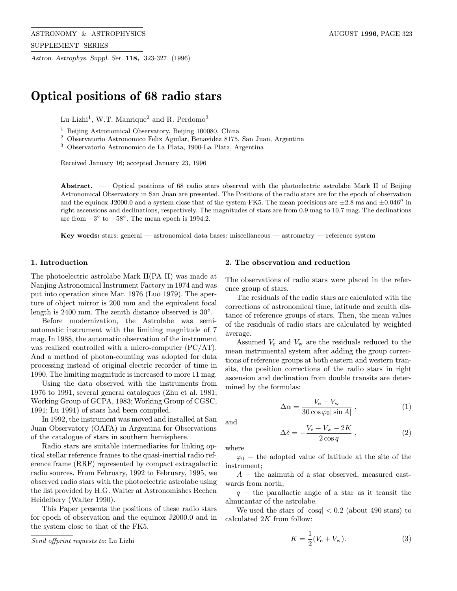Astron. Astrophys. Suppl. Ser. 118, 323-327 (1996)

# Optical positions of 68 radio stars

Lu Lizhi<sup>1</sup>, W.T. Manrique<sup>2</sup> and R. Perdomo<sup>3</sup>

<sup>1</sup> Beijing Astronomical Observatory, Beijing 100080, China

<sup>2</sup> Observatorio Astronomico Felix Aguilar, Benavidez 8175, San Juan, Argentina

 $^{\rm 3}$  Observatorio Astronomico de La Plata, 1900-La Plata, Argentina

Received January 16; accepted January 23, 1996

Abstract. — Optical positions of 68 radio stars observed with the photoelectric astrolabe Mark II of Beijing Astronomical Observatory in San Juan are presented. The Positions of the radio stars are for the epoch of observation and the equinox J2000.0 and a system close that of the system FK5. The mean precisions are  $\pm 2.8$  ms and  $\pm 0.046''$  in right ascensions and declinations, respectively. The magnitudes of stars are from 0.9 mag to 10.7 mag. The declinations are from  $-3^\circ$  to  $-58^\circ$ . The mean epoch is 1994.2.

Key words: stars: general — astronomical data bases: miscellaneous — astrometry — reference system

#### 1. Introduction

The photoelectric astrolabe Mark II(PA II) was made at Nanjing Astronomical Instrument Factory in 1974 and was put into operation since Mar. 1976 (Luo 1979). The aperture of object mirror is 200 mm and the equivalent focal length is 2400 mm. The zenith distance observed is 30◦.

Before modernization, the Astrolabe was semiautomatic instrument with the limiting magnitude of 7 mag. In 1988, the automatic observation of the instrument was realized controlled with a micro-computer (PC/AT). And a method of photon-counting was adopted for data processing instead of original electric recorder of time in 1990. The limiting magnitude is increased to more 11 mag.

Using the data observed with the instruments from 1976 to 1991, several general catalogues (Zhu et al. 1981; Working Group of GCPA, 1983; Working Group of CGSC, 1991; Lu 1991) of stars had been compiled.

In 1992, the instrument was moved and installed at San Juan Observatory (OAFA) in Argentina for Observations of the catalogue of stars in southern hemisphere.

Radio stars are suitable intermediaries for linking optical stellar reference frames to the quasi-inertial radio reference frame (RRF) represented by compact extragalactic radio sources. From February, 1992 to February, 1995, we observed radio stars with the photoelectric astrolabe using the list provided by H.G. Walter at Astronomishes Rechen Heidelbery (Walter 1990).

This Paper presents the positions of these radio stars for epoch of observation and the equinox J2000.0 and in the system close to that of the FK5.

## 2. The observation and reduction

The observations of radio stars were placed in the reference group of stars.

The residuals of the radio stars are calculated with the corrections of astronomical time, latitude and zenith distance of reference groups of stars. Then, the mean values of the residuals of radio stars are calculated by weighted average.

Assumed  $V_{e}$  and  $V_{w}$  are the residuals reduced to the mean instrumental system after adding the group corrections of reference groups at both eastern and western transits, the position corrections of the radio stars in right ascension and declination from double transits are determined by the formulas:

$$
\Delta \alpha = \frac{V_{\rm e} - V_{\rm w}}{30 \cos \varphi_0 |\sin A|} \,, \tag{1}
$$

and

$$
\Delta \delta = -\frac{V_e + V_w - 2K}{2 \cos q} , \qquad (2)
$$

where

 $\varphi_0$  – the adopted value of latitude at the site of the instrument;

 $A -$  the azimuth of a star observed, measured eastwards from north;

 $q -$  the parallactic angle of a star as it transit the almucantar of the astrolabe.

We used the stars of  $|\cos q| < 0.2$  (about 490 stars) to calculated 2K from follow:

$$
K = \frac{1}{2}(V_{\rm e} + V_{\rm w}).
$$
\n(3)

Send offprint requests to: Lu Lizhi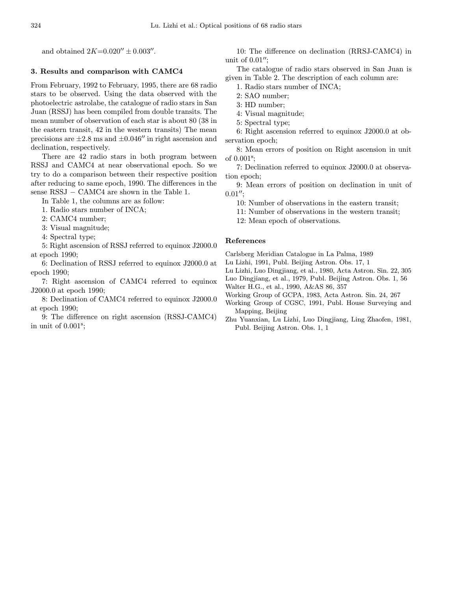### 3. Results and comparison with CAMC4

From February, 1992 to February, 1995, there are 68 radio stars to be observed. Using the data observed with the photoelectric astrolabe, the catalogue of radio stars in San Juan (RSSJ) has been compiled from double transits. The mean number of observation of each star is about 80 (38 in the eastern transit, 42 in the western transits) The mean precisions are  $\pm 2.8$  ms and  $\pm 0.046''$  in right ascension and declination, respectively.

There are 42 radio stars in both program between RSSJ and CAMC4 at near observational epoch. So we try to do a comparison between their respective position after reducing to same epoch, 1990. The differences in the sense RSSJ – CAMC4 are shown in the Table 1.

In Table 1, the columns are as follow:

1. Radio stars number of INCA;

2: CAMC4 number;

3: Visual magnitude;

4: Spectral type;

5: Right ascension of RSSJ referred to equinox J2000.0 at epoch 1990;

6: Declination of RSSJ referred to equinox J2000.0 at epoch 1990;

7: Right ascension of CAMC4 referred to equinox J2000.0 at epoch 1990;

8: Declination of CAMC4 referred to equinox J2000.0 at epoch 1990;

9: The difference on right ascension (RSSJ-CAMC4) in unit of  $0.001$ <sup>s</sup>;

10: The difference on declination (RRSJ-CAMC4) in unit of  $0.01$ ";

The catalogue of radio stars observed in San Juan is given in Table 2. The description of each column are:

- 1. Radio stars number of INCA;
- 2: SAO number;
- 3: HD number;
- 4: Visual magnitude;
- 5: Spectral type;

6: Right ascension referred to equinox J2000.0 at observation epoch;

8: Mean errors of position on Right ascension in unit of 0.001<sup>s</sup> ;

7: Declination referred to equinox J2000.0 at observation epoch;

9: Mean errors of position on declination in unit of  $0.01''$ ;

10: Number of observations in the eastern transit;

11: Number of observations in the western transit;

12: Mean epoch of observations.

# References

Carlsberg Meridian Catalogue in La Palma, 1989

Lu Lizhi, 1991, Publ. Beijing Astron. Obs. 17, 1

Lu Lizhi, Luo Dingjiang, et al., 1980, Acta Astron. Sin. 22, 305

Luo Dingjiang, et al., 1979, Publ. Beijing Astron. Obs. 1, 56

Walter H.G., et al., 1990, A&AS 86, 357

Working Group of GCPA, 1983, Acta Astron. Sin. 24, 267

Working Group of CGSC, 1991, Publ. House Surveying and Mapping, Beijing

Zhu Yuanxian, Lu Lizhi, Luo Dingjiang, Ling Zhaofen, 1981, Publ. Beijing Astron. Obs. 1, 1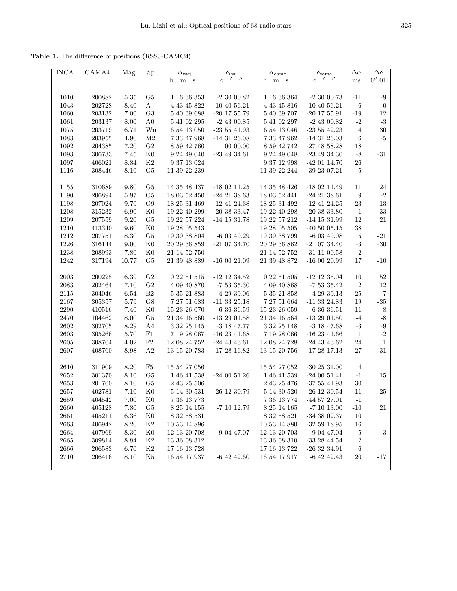Table 1. The difference of positions (RSSJ-CAMC4)

| <b>INCA</b> | CAMA4                 | Mag      | ${\rm Sp}$     | $\alpha$ <sub>rssj</sub> | $\delta_{\rm rssj}$    | $\alpha_{\rm came}$ | $\delta_{\rm came}$     | $\Delta \alpha$  | $\overline{\Delta \delta}$ |
|-------------|-----------------------|----------|----------------|--------------------------|------------------------|---------------------|-------------------------|------------------|----------------------------|
|             |                       |          |                | h<br>m s                 | $^{\prime}$<br>$\circ$ | h m s               | $1 \quad 11$<br>$\circ$ | $\rm ms$         | $0^{\prime\prime}.01$      |
|             |                       |          |                |                          |                        |                     |                         |                  |                            |
| 1010        | $\boldsymbol{200882}$ | 5.35     | G <sub>5</sub> | 1 16 36.353              | $-23000.82$            | 1 16 36.364         | $-23000.73$             | $-11$            | $^{\rm \scriptstyle -9}$   |
| 1043        | 202728                | 8.40     | $\bf{A}$       | 4 43 45.822              | $-10$ 40 56.21         | 4 43 45.816         | $-10$ 40 56.21          | $\,6\,$          | $\boldsymbol{0}$           |
| 1060        | 203132                | 7.00     | G <sub>3</sub> | 5 40 39.688              | $-20$ 17 55.79         | 5 40 39.707         | $-20$ 17 $55.91$        | $-19$            | $12\,$                     |
| $1061\,$    | 203137                | $8.00\,$ | A <sub>0</sub> | 5 41 02.295              | $-2$ 43 00.85          | 5 41 02.297         | $-2$ 43 00.82           | $-2$             | $^{\rm -3}$                |
| $1075\,$    | 203719                | 6.71     | Wn             | $6\ 54\ 13.050$          | $-23541.93$            | 6 54 13.046         | $-23542.23$             | $\overline{4}$   | $30\,$                     |
| 1083        | 203955                | 4.90     | M <sub>2</sub> | 7 33 47.968              | $-14$ 31 26.08         | 7 33 47.962         | $-14$ 31 26.03          | 6                | $\text{-}5$                |
| 1092        | 204385                | 7.20     | G <sub>2</sub> | 8 59 42.760              | 0000.00                | 8 59 42.742         | $-274858.28$            | 18               |                            |
| 1093        | 306733                | 7.45     | K <sub>0</sub> | 9 24 49.040              | $-234934.61$           | 9 24 49 048         | $-234934.30$            | $-8$             | $-31$                      |
| 1097        | 406021                | 8.84     | K2             | 9 37 13.024              |                        | 9 37 12.998         | $-42$ 01 14.70          | 26               |                            |
| 1116        | 308446                | $8.10\,$ | G5             | 11 39 22.239             |                        | 11 39 22.244        | $-39$ $23$ $07.21$      | $-5$             |                            |
|             |                       |          |                |                          |                        |                     |                         |                  |                            |
| 1155        | 310689                | 9.80     | G5             | 14 35 48.437             | $-180211.25$           | 14 35 48.426        | $-180211.49$            | 11               | 24                         |
| 1190        | 206894                | 5.97     | O <sub>5</sub> | 18 03 52.450             | $-24$ 21 38.63         | 18 03 52.441        | $-242138.61$            | $\boldsymbol{9}$ | $^{\rm -2}$                |
| 1198        | 207024                | 9.70     | O <sub>9</sub> | 18 25 31.469             | $-12$ 41 24.38         | 18 25 31.492        | $-12$ 41 24.25          | $-23$            | $\mbox{-}13$               |
| 1208        | 315232                | 6.90     | $_{\rm K0}$    | 19 22 40.299             | $-203833.47$           | 19 22 40.298        | $-203833.80$            | 1                | $33\,$                     |
| 1209        | 207559                | 9.20     | G <sub>5</sub> | 19 22 57.224             | $-14$ 15 31.78         | 19 22 57.212        | $-14$ 15 31.99          | 12               | 21                         |
| 1210        | 413340                | 9.60     | K <sub>0</sub> | 19 28 05.543             |                        | 19 28 05.505        | $-40\ 50\ 05.15$        | $38\,$           |                            |
| 1212        | 207751                | 8.30     | G <sub>5</sub> | 19 39 38.804             | $-6$ 03 49.29          | 19 39 38.799        | $-6$ 03 49.08           | $\bf 5$          | $-21$                      |
| 1226        | 316144                | 9.00     | K <sub>0</sub> | $20\ 29\ 36.859$         | $-210734.70$           | 20 29 36.862        | $\mbox{-}21$ 07 34.40   | $-3$             | $-30$                      |
| 1238        | 208993                | 7.80     | K <sub>0</sub> | 21 14 52.750             |                        | 21 14 52.752        | $-31$ 11 00.58          | $-2$             |                            |
| 1242        | 317194                | 10.77    | G <sub>5</sub> | 21 39 48.889             | $\mbox{-}16$ 00 21.09  | 21 39 48.872        | $-160020.99$            | 17               | $-10$                      |
|             |                       |          |                |                          |                        |                     |                         |                  |                            |
| 2003        | 200228                | 6.39     | G <sub>2</sub> | 0 22 51.515              | $-12$ 12 34.52         | 0 22 51.505         | $-12$ 12 35.04          | 10               | $52\,$                     |
| 2083        | 202464                | 7.10     | $\rm G2$       | 4 09 40.870              | $-75335.30$            | 4 09 40.868         | $-75335.42$             | $\boldsymbol{2}$ | $12\,$                     |
| 2115        | 304046                | 6.54     | B <sub>2</sub> | 5 35 21.883              | $-42939.06$            | 5 35 21.858         | $-42939.13$             | $25\,$           | $\scriptstyle{7}$          |
| 2167        | 305357                | 5.79     | G8             | 7 27 51.683              | $-11$ 33 $25.18$       | 7 27 51.664         | $-11$ 33 24.83          | $19\,$           | $\mbox{-}35$               |
| 2290        | 410516                | 7.40     | K <sub>0</sub> | 15 23 26.070             | $-63636.59$            | 15 23 26.059        | $-63636.51$             | 11               | $-8$                       |
| $2470\,$    | 104462                | $8.00\,$ | ${\rm G}5$     | $21\ 34\ 16.560$         | $-132901.58$           | 21 34 16.564        | $-132901.50$            | $-4$             | $\text{-}8$                |
| 2602        | 302705                | 8.29     | A4             | 3 32 25.145              | $-3$ 18 47.77          | 3 32 25.148         | $-3$ 18 47.68           | $^{\rm -3}$      | $^{\rm -9}$                |
| $2603\,$    | 305266                | 5.70     | F1             | 7 19 28.067              | $-16$ 23 $41.68$       | 7 19 28.066         | $-16$ 23 $41.66$        | $\mathbf{1}$     | $-2$                       |
| 2605        | 308764                | 4.02     | F2             | $12\ 08\ 24.752$         | $-24$ 43 43.61         | 12 08 24.728        | $-24$ 43 43.62          | 24               | $1\,$                      |
| 2607        | 408760                | 8.98     | A <sub>2</sub> | 13 15 20.783             | $-172816.82$           | $13\ 15\ 20.756$    | $-172817.13$            | 27               | 31                         |
|             |                       |          |                |                          |                        |                     |                         |                  |                            |
| $2610\,$    | 311909                | 8.20     | F5             | 15 54 27.056             |                        | 15 54 27.052        | -30 25 $31.00\,$        | $\overline{4}$   |                            |
| 2652        | 301370                | 8.10     | G <sub>5</sub> | $1\ 46\ 41.538$          | $-240051.26$           | 1 46 41.539         | $-240051.41$            | $-1$             | 15                         |
| 2653        | 201760                | 8.10     | G5             | 2 43 25.506              |                        | 2 43 25.476         | $-375541.93$            | $30\,$           |                            |
| 2657        | 402781                | 7.10     | K <sub>0</sub> | 5 14 30.531              | $-26$ 12 30.79         | 5 14 30.520         | $-26$ 12 30.54          | 11               | $-25$                      |
| 2659        | 404542                | 7.00     | $_{\rm K0}$    | 7 36 13.773              |                        | 7 36 13.774         | $-44\ 57\ 27.01$        | $-1$             |                            |
| 2660        | 405128                | 7.80     | G5             | 8 25 14.155              | $-7$ 10 12.79          | 8 25 14.165         | $\mbox{-}7$ 10 $13.00$  | $-10$            | 21                         |
| 2661        | 405211                | $6.36\,$ | K <sub>0</sub> | $8\ 32\ 58.531$          |                        | $8\ 32\ 58.521$     | $-34$ 38 02.37          | 10               |                            |
| 2663        | 406942                | 8.20     | K2             | $10\ 53\ 14.896$         |                        | $10\ 53\ 14.880$    | $-32\ 59\ 18.95$        | 16               |                            |
| 2664        | 407969                | 8.30     | K <sub>0</sub> | $12\ 13\ 20.708$         | $-90447.07$            | 12 13 20.703        | $-90447.04$             | 5                | $-3$                       |
| 2665        | 309814                | 8.84     | K <sub>2</sub> | 13 36 08.312             |                        | 13 36 08.310        | $-332844.54$            | $\overline{c}$   |                            |
| 2666        | 206583                | 6.70     | $\rm K2$       | 17 16 13.728             |                        | 17 16 13.722        | $-263234.91$            | 6                |                            |
| 2710        | 206416                | 8.10     | K5             | 16 54 17.937             | $-6$ 42 42.60          | 16 54 17.917        | $-6$ 42 42.43           | 20               | $-17$                      |
|             |                       |          |                |                          |                        |                     |                         |                  |                            |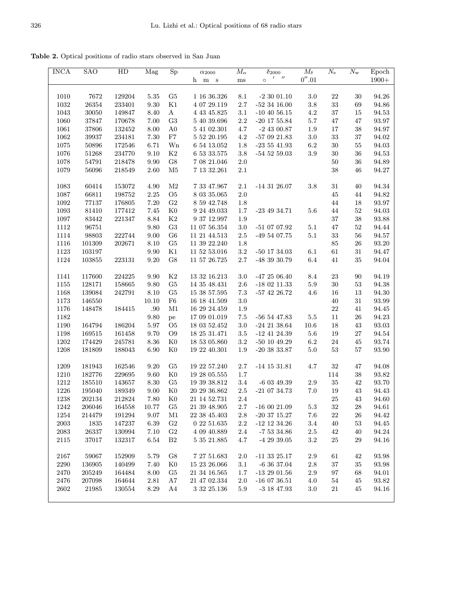Table 2. Optical positions of radio stars observed in San Juan

| <b>INCA</b>         | <b>SAO</b> | HD     | Mag      | Sp             | $\alpha_{2000}$  | $M_{\alpha}$ | $\delta_{2000}$             | $M_{\delta}$          | $N_{\rm e}$ | $N_{\rm w}$ | Epoch                |
|---------------------|------------|--------|----------|----------------|------------------|--------------|-----------------------------|-----------------------|-------------|-------------|----------------------|
|                     |            |        |          |                | h m s            | $\rm ms$     | $1 - H$<br>$\circ$          | $0^{\prime\prime}.01$ |             |             | $1900+$              |
|                     |            |        |          |                |                  |              |                             |                       |             |             |                      |
| 1010                | 7672       | 129204 | 5.35     | G5             | $1\ 16\ 36.326$  | 8.1          | $-23001.10$                 | 3.0                   | 22          | 30          | 94.26                |
| 1032                | $\ 26354$  | 233401 | 9.30     | K1             | 4 07 29.119      | $2.7\,$      | $-52$ 34 16.00              | $3.8\,$               | $33\,$      | 69          | 94.86                |
| 1043                | $30050\,$  | 149847 | 8.40     | $\bf{A}$       | 4 43 45.825      | $3.1\,$      | $-10$ 40 56.15              | $4.2\,$               | $37\,$      | 15          | $94.53\,$            |
| $1060\,$            | 37847      | 170678 | $7.00\,$ | G3             | 5 40 39.696      | $2.2\,$      | $-20$ 17 55.84              | $5.7\,$               | 47          | 47          | 93.97                |
| 1061                | 37806      | 132452 | 8.00     | A <sub>0</sub> | 5 41 02.301      | $4.7\,$      | $-2$ 43 00.87               | 1.9                   | $17\,$      | $38\,$      | 94.97                |
| 1062                | 39937      | 234181 | 7.30     | $_{\rm F7}$    | 5 52 20.195      | $4.2\,$      | $\mbox{-}57$ 09 21.83       | $3.0\,$               | $33\,$      | $37\,$      | $94.02\,$            |
|                     |            |        |          |                |                  |              |                             | $6.2\,$               |             |             | 94.03                |
| 1075                | 50896      | 172546 | 6.71     | Wn             | 6 54 13.052      | 1.8          | $-23\ 55\ 41.93$            |                       | $30\,$      | 55          |                      |
| 1076                | 51268      | 234770 | 9.10     | $\rm K2$       | 6 53 33.575      | 3.8          | $-54\,52\,59.03$            | $3.9\,$               | $30\,$      | 36          | $94.53\,$            |
| 1078                | 54791      | 218478 | $\,9.90$ | $\rm{G}8$      | 7 08 21.046      | $2.0\,$      |                             |                       | $50\,$      | $36\,$      | 94.89                |
| 1079                | 56096      | 218549 | 2.60     | M5             | 7 13 32.261      | $2.1\,$      |                             |                       | 38          | 46          | 94.27                |
| 1083                | 60414      | 153072 | 4.90     | $\rm M2$       | 7 33 47.967      | 2.1          | $-14$ 31 26.07              | 3.8                   | $31\,$      | 40          | 94.34                |
| $1087\,$            | 66811      | 198752 | 2.25     | ${\rm O}5$     | 8 03 35.065      | $2.0\,$      |                             |                       | $45\,$      | 44          | 94.82                |
| 1092                | 77137      | 176805 | 7.20     | $\rm G2$       | 8 59 42.748      | 1.8          |                             |                       | $44\,$      | 18          | 93.97                |
| 1093                | 81410      | 177412 | 7.45     | ${\rm K0}$     | 9 24 49.033      | $1.7\,$      | $-23$ 49 34.71              | 5.6                   | 44          | $52\,$      | 94.03                |
| 1097                | 83442      | 221347 | 8.84     | $\rm K2$       | 9 37 12.997      | $1.9\,$      |                             |                       | $37\,$      | $38\,$      | 93.88                |
| 1112                | 96751      |        | $9.80\,$ | $\rm G3$       | 11 07 56.354     | $3.0\,$      | $-51$ 07 07.92              | $5.1\,$               | $47\,$      | $52\,$      | 94.44                |
| 1114                | 98803      | 222744 | 9.00     | G6             | 11 21 44.513     | $2.5\,$      | -49 54 07.75                | $5.1\,$               | $33\,$      | 56          | 94.57                |
|                     |            |        |          |                |                  |              |                             |                       |             |             |                      |
| 1116                | 101309     | 202671 | 8.10     | ${\rm G}5$     | 11 39 22.240     | 1.8          |                             |                       | $85\,$      | 26          | 93.20                |
| 1123                | $103197\,$ |        | $\,9.90$ | K1             | 11 52 53.016     | $3.2\,$      | $-50$ 17 34.03              | 6.1                   | 61          | $31\,$      | 94.47                |
| 1124                | 103855     | 223131 | 9.20     | $\rm{G}8$      | $11\ 57\ 26.725$ | $2.7\,$      | $-48\,$ 39 $\,30.79$        | $6.4\,$               | $41\,$      | 35          | 94.04                |
| 1141                | 117600     | 224225 | 9.90     | $\rm K2$       | 13 32 16.213     | 3.0          | $-472506.40$                | 8.4                   | $23\,$      | 90          | 94.19                |
| 1155                | 128171     | 158665 | 9.80     | G <sub>5</sub> | 14 35 48.431     | 2.6          | $-180211.33$                | $5.9\,$               | $30\,$      | 53          | 94.38                |
| 1168                | 139084     | 242791 | 8.10     | G <sub>5</sub> | 15 38 57.595     | $7.3\,$      | $-57$ 42 26.72              | 4.6                   | 16          | 13          | 94.30                |
| 1173                | 146550     |        | 10.10    | ${\rm F6}$     | 16 18 41.509     | 3.0          |                             |                       | $40\,$      | $31\,$      | 93.99                |
| 1176                | 148478     | 184415 | .90      | M1             | 16 29 24.459     | 1.9          |                             |                       | $22\,$      | $41\,$      | 94.45                |
| 1182                |            |        | 9.80     | pe             | 17 09 01.019     | $7.5\,$      | $-56$ 54 47.83              | $5.5\,$               | 11          | $26\,$      | 94.23                |
| 1190                | 164794     | 186204 | 5.97     | O <sub>5</sub> | 18 03 52.452     | 3.0          | $-24$ 21 38.64              | 10.6                  | 18          | 43          | $93.03\,$            |
| 1198                | 169515     | 161458 | 9.70     | O <sub>9</sub> | 18 25 31.471     | $3.5\,$      | $-12$ 41 24.39              | 5.6                   | $19\,$      | 27          | $94.54\,$            |
| 1202                | 174429     | 245781 | $8.36\,$ | K <sub>0</sub> | 18 53 05.860     | $3.2\,$      | $-50$ 10 49.29              | $6.2\,$               | $24\,$      | 45          | 93.74                |
|                     |            |        |          |                |                  |              |                             |                       |             |             |                      |
| 1208                | 181809     | 188043 | 6.90     | K <sub>0</sub> | 19 22 40.301     | 1.9          | $-203833.87$                | $5.0\,$               | $53\,$      | 57          | 93.90                |
| 1209                | 181943     | 162546 | 9.20     | G5             | 19 22 57.240     | $2.7\,$      | $-14$ 15 31.81              | 4.7                   | $32\,$      | 47          | 94.08                |
| 1210                | 182776     | 229695 | 9.60     | ${\rm K0}$     | 19 28 05.555     | 1.7          |                             |                       | 114         | $38\,$      | $\bf{93.82}$         |
| 1212                | 185510     | 143657 | 8.30     | G <sub>5</sub> | 19 39 38.812     | 3.4          | $-6$ 03 49.39               | $2.9\,$               | 35          | 42          | 93.70                |
| 1226                | 195040     | 189349 | 9.00     | K <sub>0</sub> | 20 29 36.862     | $2.5\,$      | $-210734.73$                | $7.0\,$               | 19          | $43\,$      | 94.43                |
| 1238                | 202134     | 212824 | 7.80     | $_{\rm K0}$    | 21 14 52.731     | 2.4          |                             |                       | 25          | 43          | 94.60                |
| 1242                | 206046     | 164558 | 10.77    | G5             | $21\ 39\ 48.905$ | 2.7          | $\mbox{-}16$ 00 21.09       | 5.3                   | $32\,$      | 28          | 94.61                |
| $1254\,$            | 214479     | 191294 | 9.07     | M1             | $22\ 38\ 45.403$ | 2.8          | $-20$ 37 $15.27$            | $7.6\,$               | $22\,$      | 26          | 94.42                |
| 2003                | 1835       | 147237 | 6.39     | G <sub>2</sub> | 02251.635        | 2.2          | $-12$ 12 34.26              | $3.4\,$               | $40\,$      | 53          | $94.45\,$            |
| $\boldsymbol{2083}$ | 26337      | 130994 | 7.10     | G <sub>2</sub> | 4 09 40.889      | 2.4          | $-75334.86$                 | $2.5\,$               | 42          | 40          | 94.24                |
|                     | 37017      | 132317 | 6.54     | B <sub>2</sub> |                  | 4.7          |                             | 3.2                   | $25\,$      | 29          | 94.16                |
| 2115                |            |        |          |                | 5 35 21.885      |              | $-42939.05$                 |                       |             |             |                      |
| $2167\,$            | 59067      | 152909 | 5.79     | G8             | $7\ 27\ 51.683$  | 2.0          | $\textbf{-11} \ 33 \ 25.17$ | 2.9                   | 61          | 42          | 93.98                |
| 2290                | $136905\,$ | 140499 | 7.40     | $_{\rm K0}$    | 15 23 26.066     | 3.1          | $-63637.04$                 | $2.8\,$               | $37\,$      | 35          | 93.98                |
| 2470                | 205249     | 164484 | 8.00     | G <sub>5</sub> | 21 34 16.565     | 1.7          | $-132901.56$                | 2.9                   | 97          | 68          | 94.01                |
| 2476                | 207098     | 164644 | 2.81     | A7             | 21 47 02.334     | 2.0          | $-160736.51$                | 4.0                   | 54          | 45          | $\boldsymbol{93.82}$ |
| $2602\,$            | 21985      | 130554 | 8.29     | A4             | 3 32 25.136      | 5.9          | $-3$ 18 47.93               | 3.0                   | $21\,$      | 45          | 94.16                |
|                     |            |        |          |                |                  |              |                             |                       |             |             |                      |